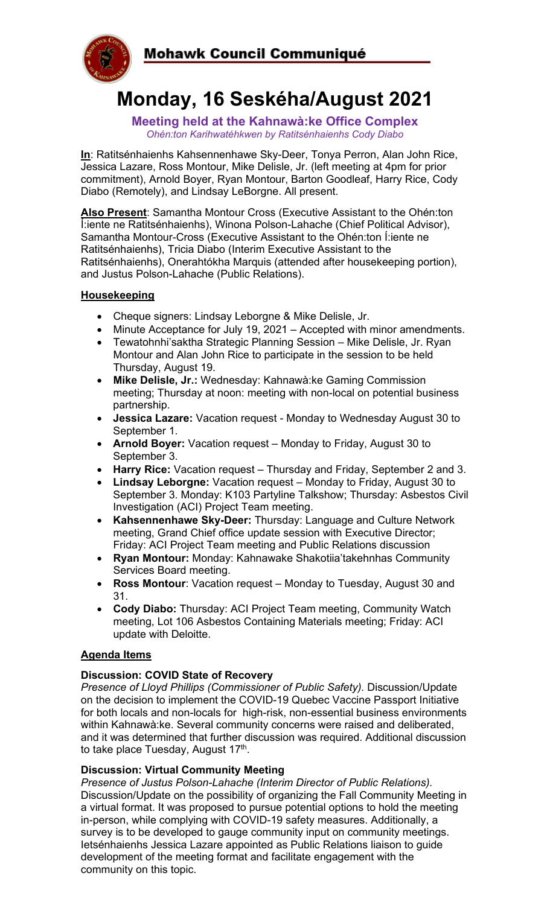

# **Monday, 16 Seskéha/August 2021**

**Meeting held at the Kahnawà:ke Office Complex** *Ohén:ton Karihwatéhkwen by Ratitsénhaienhs Cody Diabo*

**In**: Ratitsénhaienhs Kahsennenhawe Sky-Deer, Tonya Perron, Alan John Rice, Jessica Lazare, Ross Montour, Mike Delisle, Jr. (left meeting at 4pm for prior commitment), Arnold Boyer, Ryan Montour, Barton Goodleaf, Harry Rice, Cody Diabo (Remotely), and Lindsay LeBorgne. All present.

**Also Present**: Samantha Montour Cross (Executive Assistant to the Ohén:ton Í:iente ne Ratitsénhaienhs), Winona Polson-Lahache (Chief Political Advisor), Samantha Montour-Cross (Executive Assistant to the Ohén:ton Í:iente ne Ratitsénhaienhs), Tricia Diabo (Interim Executive Assistant to the Ratitsénhaienhs), Onerahtókha Marquis (attended after housekeeping portion), and Justus Polson-Lahache (Public Relations).

# **Housekeeping**

- Cheque signers: Lindsay Leborgne & Mike Delisle, Jr.
- Minute Acceptance for July 19, 2021 Accepted with minor amendments.
- Tewatohnhi'saktha Strategic Planning Session Mike Delisle, Jr. Ryan Montour and Alan John Rice to participate in the session to be held Thursday, August 19.
- **Mike Delisle, Jr.:** Wednesday: Kahnawà:ke Gaming Commission meeting; Thursday at noon: meeting with non-local on potential business partnership.
- **Jessica Lazare:** Vacation request Monday to Wednesday August 30 to September 1.
- **Arnold Boyer:** Vacation request Monday to Friday, August 30 to September 3.
- **Harry Rice:** Vacation request Thursday and Friday, September 2 and 3.
- **Lindsay Leborgne:** Vacation request Monday to Friday, August 30 to September 3. Monday: K103 Partyline Talkshow; Thursday: Asbestos Civil Investigation (ACI) Project Team meeting.
- **Kahsennenhawe Sky-Deer:** Thursday: Language and Culture Network meeting, Grand Chief office update session with Executive Director; Friday: ACI Project Team meeting and Public Relations discussion
- **Ryan Montour:** Monday: Kahnawake Shakotiia'takehnhas Community Services Board meeting.
- **Ross Montour**: Vacation request Monday to Tuesday, August 30 and 31.
- **Cody Diabo:** Thursday: ACI Project Team meeting, Community Watch meeting, Lot 106 Asbestos Containing Materials meeting; Friday: ACI update with Deloitte.

# **Agenda Items**

#### **Discussion: COVID State of Recovery**

*Presence of Lloyd Phillips (Commissioner of Public Safety).* Discussion/Update on the decision to implement the COVID-19 Quebec Vaccine Passport Initiative for both locals and non-locals for high-risk, non-essential business environments within Kahnawà:ke. Several community concerns were raised and deliberated, and it was determined that further discussion was required. Additional discussion to take place Tuesday, August 17<sup>th</sup>.

#### **Discussion: Virtual Community Meeting**

*Presence of Justus Polson-Lahache (Interim Director of Public Relations).*  Discussion/Update on the possibility of organizing the Fall Community Meeting in a virtual format. It was proposed to pursue potential options to hold the meeting in-person, while complying with COVID-19 safety measures. Additionally, a survey is to be developed to gauge community input on community meetings. Ietsénhaienhs Jessica Lazare appointed as Public Relations liaison to guide development of the meeting format and facilitate engagement with the community on this topic.